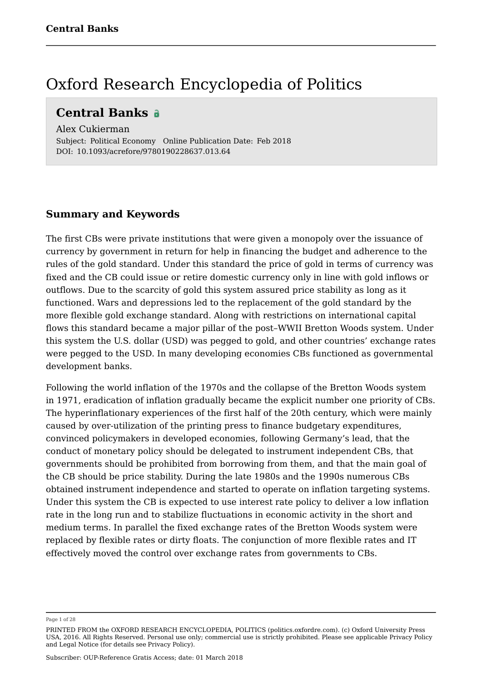### Oxford Research Encyclopedia of Politics

### **Central Banks**

Alex Cukierman Subject: Political Economy Online Publication Date: Feb 2018 DOI: 10.1093/acrefore/9780190228637.013.64

#### **Summary and Keywords**

The first CBs were private institutions that were given a monopoly over the issuance of currency by government in return for help in financing the budget and adherence to the rules of the gold standard. Under this standard the price of gold in terms of currency was fixed and the CB could issue or retire domestic currency only in line with gold inflows or outflows. Due to the scarcity of gold this system assured price stability as long as it functioned. Wars and depressions led to the replacement of the gold standard by the more flexible gold exchange standard. Along with restrictions on international capital flows this standard became a major pillar of the post–WWII Bretton Woods system. Under this system the U.S. dollar (USD) was pegged to gold, and other countries' exchange rates were pegged to the USD. In many developing economies CBs functioned as governmental development banks.

Following the world inflation of the 1970s and the collapse of the Bretton Woods system in 1971, eradication of inflation gradually became the explicit number one priority of CBs. The hyperinflationary experiences of the first half of the 20th century, which were mainly caused by over-utilization of the printing press to finance budgetary expenditures, convinced policymakers in developed economies, following Germany's lead, that the conduct of monetary policy should be delegated to instrument independent CBs, that governments should be prohibited from borrowing from them, and that the main goal of the CB should be price stability. During the late 1980s and the 1990s numerous CBs obtained instrument independence and started to operate on inflation targeting systems. Under this system the CB is expected to use interest rate policy to deliver a low inflation rate in the long run and to stabilize fluctuations in economic activity in the short and medium terms. In parallel the fixed exchange rates of the Bretton Woods system were replaced by flexible rates or dirty floats. The conjunction of more flexible rates and IT effectively moved the control over exchange rates from governments to CBs.

Page 1 of 28

PRINTED FROM the OXFORD RESEARCH ENCYCLOPEDIA, POLITICS (politics.oxfordre.com). (c) Oxford University Press USA, 2016. All Rights Reserved. Personal use only; commercial use is strictly prohibited. Please see applicable Privacy Policy and Legal Notice (for details see Privacy Policy).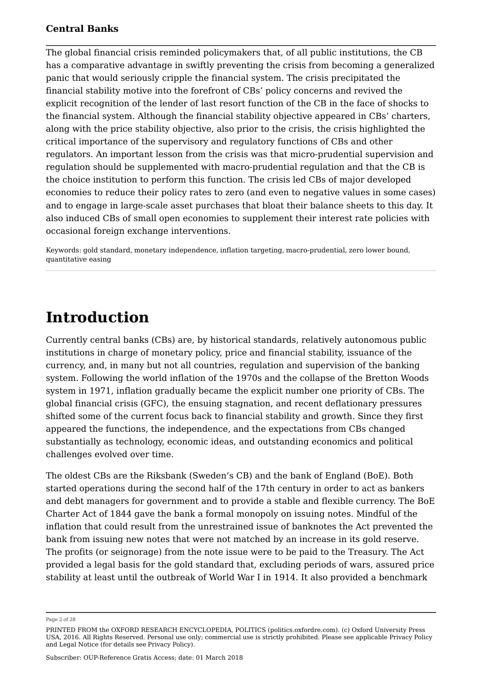The global financial crisis reminded policymakers that, of all public institutions, the CB has a comparative advantage in swiftly preventing the crisis from becoming a generalized panic that would seriously cripple the financial system. The crisis precipitated the financial stability motive into the forefront of CBs' policy concerns and revived the explicit recognition of the lender of last resort function of the CB in the face of shocks to the financial system. Although the financial stability objective appeared in CBs' charters, along with the price stability objective, also prior to the crisis, the crisis highlighted the critical importance of the supervisory and regulatory functions of CBs and other regulators. An important lesson from the crisis was that micro-prudential supervision and regulation should be supplemented with macro-prudential regulation and that the CB is the choice institution to perform this function. The crisis led CBs of major developed economies to reduce their policy rates to zero (and even to negative values in some cases) and to engage in large-scale asset purchases that bloat their balance sheets to this day. It also induced CBs of small open economies to supplement their interest rate policies with occasional foreign exchange interventions.

Keywords: gold standard, monetary independence, inflation targeting, macro-prudential, zero lower bound, quantitative easing

### **Introduction**

Currently central banks (CBs) are, by historical standards, relatively autonomous public institutions in charge of monetary policy, price and financial stability, issuance of the currency, and, in many but not all countries, regulation and supervision of the banking system. Following the world inflation of the 1970s and the collapse of the Bretton Woods system in 1971, inflation gradually became the explicit number one priority of CBs. The global financial crisis (GFC), the ensuing stagnation, and recent deflationary pressures shifted some of the current focus back to financial stability and growth. Since they first appeared the functions, the independence, and the expectations from CBs changed substantially as technology, economic ideas, and outstanding economics and political challenges evolved over time.

The oldest CBs are the Riksbank (Sweden's CB) and the bank of England (BoE). Both started operations during the second half of the 17th century in order to act as bankers and debt managers for government and to provide a stable and flexible currency. The BoE Charter Act of 1844 gave the bank a formal monopoly on issuing notes. Mindful of the inflation that could result from the unrestrained issue of banknotes the Act prevented the bank from issuing new notes that were not matched by an increase in its gold reserve. The profits (or seignorage) from the note issue were to be paid to the Treasury. The Act provided a legal basis for the gold standard that, excluding periods of wars, assured price stability at least until the outbreak of World War I in 1914. It also provided a benchmark

Page 2 of 28

PRINTED FROM the OXFORD RESEARCH ENCYCLOPEDIA, POLITICS (politics.oxfordre.com). (c) Oxford University Press USA, 2016. All Rights Reserved. Personal use only; commercial use is strictly prohibited. Please see applicable Privacy Policy and Legal Notice (for details see Privacy Policy).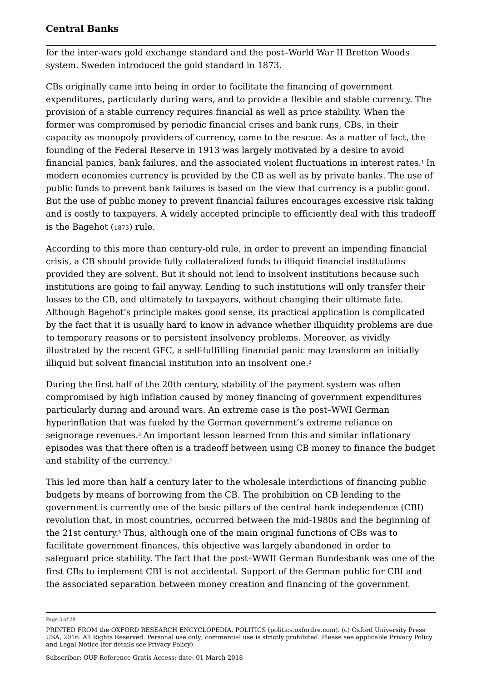for the inter-wars gold exchange standard and the post–World War II Bretton Woods system. Sweden introduced the gold standard in 1873.

CBs originally came into being in order to facilitate the financing of government expenditures, particularly during wars, and to provide a flexible and stable currency. The provision of a stable currency requires financial as well as price stability. When the former was compromised by periodic financial crises and bank runs, CBs, in their capacity as monopoly providers of currency, came to the rescue. As a matter of fact, the founding of the Federal Reserve in 1913 was largely motivated by a desire to avoid financial panics, bank failures, and the associated violent fluctuations in interest rates.<sup>1</sup> In modern economies currency is provided by the CB as well as by private banks. The use of public funds to prevent bank failures is based on the view that currency is a public good. But the use of public money to prevent financial failures encourages excessive risk taking and is costly to taxpayers. A widely accepted principle to efficiently deal with this tradeoff is the Bagehot (1873) rule.

According to this more than century-old rule, in order to prevent an impending financial crisis, a CB should provide fully collateralized funds to illiquid financial institutions provided they are solvent. But it should not lend to insolvent institutions because such institutions are going to fail anyway. Lending to such institutions will only transfer their losses to the CB, and ultimately to taxpayers, without changing their ultimate fate. Although Bagehot's principle makes good sense, its practical application is complicated by the fact that it is usually hard to know in advance whether illiquidity problems are due to temporary reasons or to persistent insolvency problems. Moreover, as vividly illustrated by the recent GFC, a self-fulfilling financial panic may transform an initially illiquid but solvent financial institution into an insolvent one. 2

During the first half of the 20th century, stability of the payment system was often compromised by high inflation caused by money financing of government expenditures particularly during and around wars. An extreme case is the post–WWI German hyperinflation that was fueled by the German government's extreme reliance on seignorage revenues.<sup>3</sup> An important lesson learned from this and similar inflationary episodes was that there often is a tradeoff between using CB money to finance the budget and stability of the currency. 4

This led more than half a century later to the wholesale interdictions of financing public budgets by means of borrowing from the CB. The prohibition on CB lending to the government is currently one of the basic pillars of the central bank independence (CBI) revolution that, in most countries, occurred between the mid-1980s and the beginning of the 21st century.<sup>5</sup> Thus, although one of the main original functions of CBs was to facilitate government finances, this objective was largely abandoned in order to safeguard price stability. The fact that the post–WWII German Bundesbank was one of the first CBs to implement CBI is not accidental. Support of the German public for CBI and the associated separation between money creation and financing of the government

Page 3 of 28

PRINTED FROM the OXFORD RESEARCH ENCYCLOPEDIA, POLITICS (politics.oxfordre.com). (c) Oxford University Press USA, 2016. All Rights Reserved. Personal use only; commercial use is strictly prohibited. Please see applicable Privacy Policy and Legal Notice (for details see Privacy Policy).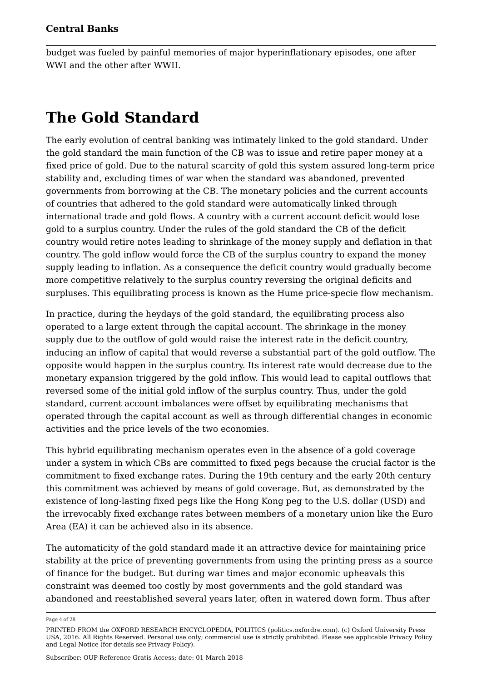budget was fueled by painful memories of major hyperinflationary episodes, one after WWI and the other after WWII.

# **The Gold Standard**

The early evolution of central banking was intimately linked to the gold standard. Under the gold standard the main function of the CB was to issue and retire paper money at a fixed price of gold. Due to the natural scarcity of gold this system assured long-term price stability and, excluding times of war when the standard was abandoned, prevented governments from borrowing at the CB. The monetary policies and the current accounts of countries that adhered to the gold standard were automatically linked through international trade and gold flows. A country with a current account deficit would lose gold to a surplus country. Under the rules of the gold standard the CB of the deficit country would retire notes leading to shrinkage of the money supply and deflation in that country. The gold inflow would force the CB of the surplus country to expand the money supply leading to inflation. As a consequence the deficit country would gradually become more competitive relatively to the surplus country reversing the original deficits and surpluses. This equilibrating process is known as the Hume price-specie flow mechanism.

In practice, during the heydays of the gold standard, the equilibrating process also operated to a large extent through the capital account. The shrinkage in the money supply due to the outflow of gold would raise the interest rate in the deficit country, inducing an inflow of capital that would reverse a substantial part of the gold outflow. The opposite would happen in the surplus country. Its interest rate would decrease due to the monetary expansion triggered by the gold inflow. This would lead to capital outflows that reversed some of the initial gold inflow of the surplus country. Thus, under the gold standard, current account imbalances were offset by equilibrating mechanisms that operated through the capital account as well as through differential changes in economic activities and the price levels of the two economies.

This hybrid equilibrating mechanism operates even in the absence of a gold coverage under a system in which CBs are committed to fixed pegs because the crucial factor is the commitment to fixed exchange rates. During the 19th century and the early 20th century this commitment was achieved by means of gold coverage. But, as demonstrated by the existence of long-lasting fixed pegs like the Hong Kong peg to the U.S. dollar (USD) and the irrevocably fixed exchange rates between members of a monetary union like the Euro Area (EA) it can be achieved also in its absence.

The automaticity of the gold standard made it an attractive device for maintaining price stability at the price of preventing governments from using the printing press as a source of finance for the budget. But during war times and major economic upheavals this constraint was deemed too costly by most governments and the gold standard was abandoned and reestablished several years later, often in watered down form. Thus after

Page 4 of 28

PRINTED FROM the OXFORD RESEARCH ENCYCLOPEDIA, POLITICS (politics.oxfordre.com). (c) Oxford University Press USA, 2016. All Rights Reserved. Personal use only; commercial use is strictly prohibited. Please see applicable Privacy Policy and Legal Notice (for details see Privacy Policy).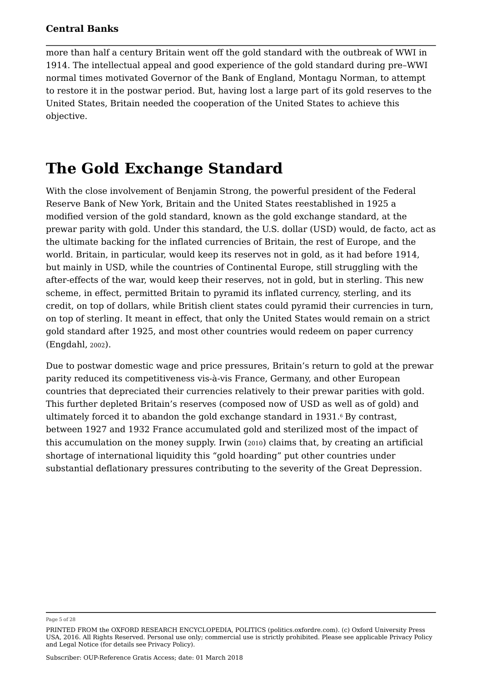more than half a century Britain went off the gold standard with the outbreak of WWI in 1914. The intellectual appeal and good experience of the gold standard during pre–WWI normal times motivated Governor of the Bank of England, Montagu Norman, to attempt to restore it in the postwar period. But, having lost a large part of its gold reserves to the United States, Britain needed the cooperation of the United States to achieve this objective.

### **The Gold Exchange Standard**

With the close involvement of Benjamin Strong, the powerful president of the Federal Reserve Bank of New York, Britain and the United States reestablished in 1925 a modified version of the gold standard, known as the gold exchange standard, at the prewar parity with gold. Under this standard, the U.S. dollar (USD) would, de facto, act as the ultimate backing for the inflated currencies of Britain, the rest of Europe, and the world. Britain, in particular, would keep its reserves not in gold, as it had before 1914, but mainly in USD, while the countries of Continental Europe, still struggling with the after-effects of the war, would keep their reserves, not in gold, but in sterling. This new scheme, in effect, permitted Britain to pyramid its inflated currency, sterling, and its credit, on top of dollars, while British client states could pyramid their currencies in turn, on top of sterling. It meant in effect, that only the United States would remain on a strict gold standard after 1925, and most other countries would redeem on paper currency (Engdahl, 2002).

Due to postwar domestic wage and price pressures, Britain's return to gold at the prewar parity reduced its competitiveness vis-à-vis France, Germany, and other European countries that depreciated their currencies relatively to their prewar parities with gold. This further depleted Britain's reserves (composed now of USD as well as of gold) and ultimately forced it to abandon the gold exchange standard in 1931.6 By contrast, between 1927 and 1932 France accumulated gold and sterilized most of the impact of this accumulation on the money supply. Irwin (2010) claims that, by creating an artificial shortage of international liquidity this "gold hoarding" put other countries under substantial deflationary pressures contributing to the severity of the Great Depression.

Page 5 of 28

PRINTED FROM the OXFORD RESEARCH ENCYCLOPEDIA, POLITICS (politics.oxfordre.com). (c) Oxford University Press USA, 2016. All Rights Reserved. Personal use only; commercial use is strictly prohibited. Please see applicable Privacy Policy and Legal Notice (for details see Privacy Policy).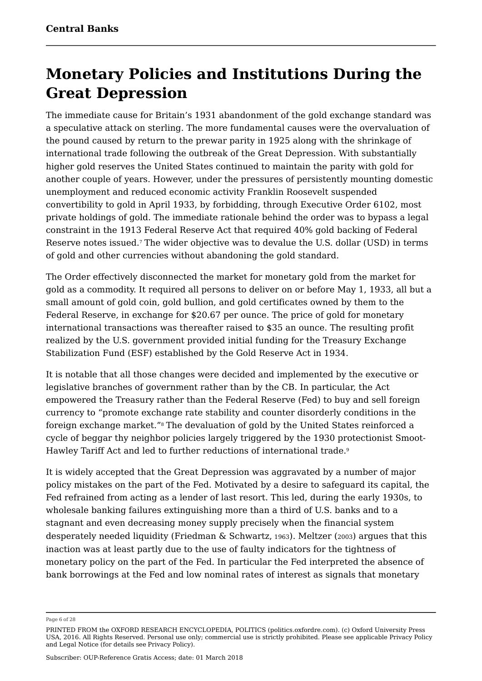### **Monetary Policies and Institutions During the Great Depression**

The immediate cause for Britain's 1931 abandonment of the gold exchange standard was a speculative attack on sterling. The more fundamental causes were the overvaluation of the pound caused by return to the prewar parity in 1925 along with the shrinkage of international trade following the outbreak of the Great Depression. With substantially higher gold reserves the United States continued to maintain the parity with gold for another couple of years. However, under the pressures of persistently mounting domestic unemployment and reduced economic activity Franklin Roosevelt suspended convertibility to gold in April 1933, by forbidding, through Executive Order 6102, most private holdings of gold. The immediate rationale behind the order was to bypass a legal constraint in the 1913 Federal Reserve Act that required 40% gold backing of Federal Reserve notes issued. The wider objective was to devalue the U.S. dollar (USD) in terms 7 of gold and other currencies without abandoning the gold standard.

The Order effectively disconnected the market for monetary gold from the market for gold as a commodity. It required all persons to deliver on or before May 1, 1933, all but a small amount of gold coin, gold bullion, and gold certificates owned by them to the Federal Reserve, in exchange for \$20.67 per ounce. The price of gold for monetary international transactions was thereafter raised to \$35 an ounce. The resulting profit realized by the U.S. government provided initial funding for the Treasury Exchange Stabilization Fund (ESF) established by the Gold Reserve Act in 1934.

It is notable that all those changes were decided and implemented by the executive or legislative branches of government rather than by the CB. In particular, the Act empowered the Treasury rather than the Federal Reserve (Fed) to buy and sell foreign currency to "promote exchange rate stability and counter disorderly conditions in the foreign exchange market."<sup>8</sup> The devaluation of gold by the United States reinforced a cycle of beggar thy neighbor policies largely triggered by the 1930 protectionist Smoot-Hawley Tariff Act and led to further reductions of international trade. 9

It is widely accepted that the Great Depression was aggravated by a number of major policy mistakes on the part of the Fed. Motivated by a desire to safeguard its capital, the Fed refrained from acting as a lender of last resort. This led, during the early 1930s, to wholesale banking failures extinguishing more than a third of U.S. banks and to a stagnant and even decreasing money supply precisely when the financial system desperately needed liquidity (Friedman & Schwartz, <sup>1963</sup>). Meltzer (2003) argues that this inaction was at least partly due to the use of faulty indicators for the tightness of monetary policy on the part of the Fed. In particular the Fed interpreted the absence of bank borrowings at the Fed and low nominal rates of interest as signals that monetary

Page 6 of 28

PRINTED FROM the OXFORD RESEARCH ENCYCLOPEDIA, POLITICS (politics.oxfordre.com). (c) Oxford University Press USA, 2016. All Rights Reserved. Personal use only; commercial use is strictly prohibited. Please see applicable Privacy Policy and Legal Notice (for details see Privacy Policy).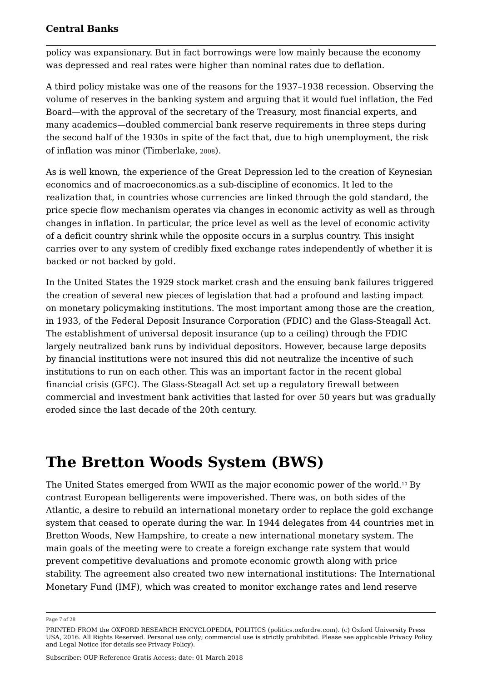policy was expansionary. But in fact borrowings were low mainly because the economy was depressed and real rates were higher than nominal rates due to deflation.

A third policy mistake was one of the reasons for the 1937–1938 recession. Observing the volume of reserves in the banking system and arguing that it would fuel inflation, the Fed Board—with the approval of the secretary of the Treasury, most financial experts, and many academics—doubled commercial bank reserve requirements in three steps during the second half of the 1930s in spite of the fact that, due to high unemployment, the risk of inflation was minor (Timberlake, <sup>2008</sup>).

As is well known, the experience of the Great Depression led to the creation of Keynesian economics and of macroeconomics.as a sub-discipline of economics. It led to the realization that, in countries whose currencies are linked through the gold standard, the price specie flow mechanism operates via changes in economic activity as well as through changes in inflation. In particular, the price level as well as the level of economic activity of a deficit country shrink while the opposite occurs in a surplus country. This insight carries over to any system of credibly fixed exchange rates independently of whether it is backed or not backed by gold.

In the United States the 1929 stock market crash and the ensuing bank failures triggered the creation of several new pieces of legislation that had a profound and lasting impact on monetary policymaking institutions. The most important among those are the creation, in 1933, of the Federal Deposit Insurance Corporation (FDIC) and the Glass-Steagall Act. The establishment of universal deposit insurance (up to a ceiling) through the FDIC largely neutralized bank runs by individual depositors. However, because large deposits by financial institutions were not insured this did not neutralize the incentive of such institutions to run on each other. This was an important factor in the recent global financial crisis (GFC). The Glass-Steagall Act set up a regulatory firewall between commercial and investment bank activities that lasted for over 50 years but was gradually eroded since the last decade of the 20th century.

### **The Bretton Woods System (BWS)**

The United States emerged from WWII as the major economic power of the world.1º By contrast European belligerents were impoverished. There was, on both sides of the Atlantic, a desire to rebuild an international monetary order to replace the gold exchange system that ceased to operate during the war. In 1944 delegates from 44 countries met in Bretton Woods, New Hampshire, to create a new international monetary system. The main goals of the meeting were to create a foreign exchange rate system that would prevent competitive devaluations and promote economic growth along with price stability. The agreement also created two new international institutions: The International Monetary Fund (IMF), which was created to monitor exchange rates and lend reserve

Page 7 of 28

PRINTED FROM the OXFORD RESEARCH ENCYCLOPEDIA, POLITICS (politics.oxfordre.com). (c) Oxford University Press USA, 2016. All Rights Reserved. Personal use only; commercial use is strictly prohibited. Please see applicable Privacy Policy and Legal Notice (for details see Privacy Policy).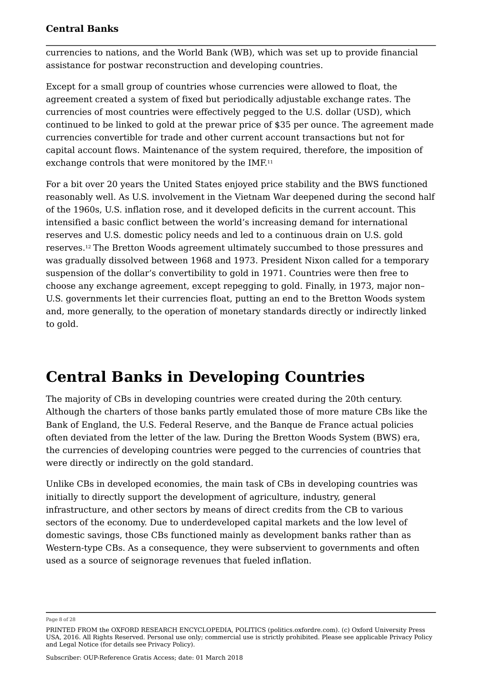currencies to nations, and the World Bank (WB), which was set up to provide financial assistance for postwar reconstruction and developing countries.

Except for a small group of countries whose currencies were allowed to float, the agreement created a system of fixed but periodically adjustable exchange rates. The currencies of most countries were effectively pegged to the U.S. dollar (USD), which continued to be linked to gold at the prewar price of \$35 per ounce. The agreement made currencies convertible for trade and other current account transactions but not for capital account flows. Maintenance of the system required, therefore, the imposition of exchange controls that were monitored by the IMF.<sup>11</sup> 11

For a bit over 20 years the United States enjoyed price stability and the BWS functioned reasonably well. As U.S. involvement in the Vietnam War deepened during the second half of the 1960s, U.S. inflation rose, and it developed deficits in the current account. This intensified a basic conflict between the world's increasing demand for international reserves and U.S. domestic policy needs and led to a continuous drain on U.S. gold reserves.12 The Bretton Woods agreement ultimately succumbed to those pressures and was gradually dissolved between 1968 and 1973. President Nixon called for a temporary suspension of the dollar's convertibility to gold in 1971. Countries were then free to choose any exchange agreement, except repegging to gold. Finally, in 1973, major non– U.S. governments let their currencies float, putting an end to the Bretton Woods system and, more generally, to the operation of monetary standards directly or indirectly linked to gold.

### **Central Banks in Developing Countries**

The majority of CBs in developing countries were created during the 20th century. Although the charters of those banks partly emulated those of more mature CBs like the Bank of England, the U.S. Federal Reserve, and the Banque de France actual policies often deviated from the letter of the law. During the Bretton Woods System (BWS) era, the currencies of developing countries were pegged to the currencies of countries that were directly or indirectly on the gold standard.

Unlike CBs in developed economies, the main task of CBs in developing countries was initially to directly support the development of agriculture, industry, general infrastructure, and other sectors by means of direct credits from the CB to various sectors of the economy. Due to underdeveloped capital markets and the low level of domestic savings, those CBs functioned mainly as development banks rather than as Western-type CBs. As a consequence, they were subservient to governments and often used as a source of seignorage revenues that fueled inflation.

Page 8 of 28

PRINTED FROM the OXFORD RESEARCH ENCYCLOPEDIA, POLITICS (politics.oxfordre.com). (c) Oxford University Press USA, 2016. All Rights Reserved. Personal use only; commercial use is strictly prohibited. Please see applicable Privacy Policy and Legal Notice (for details see Privacy Policy).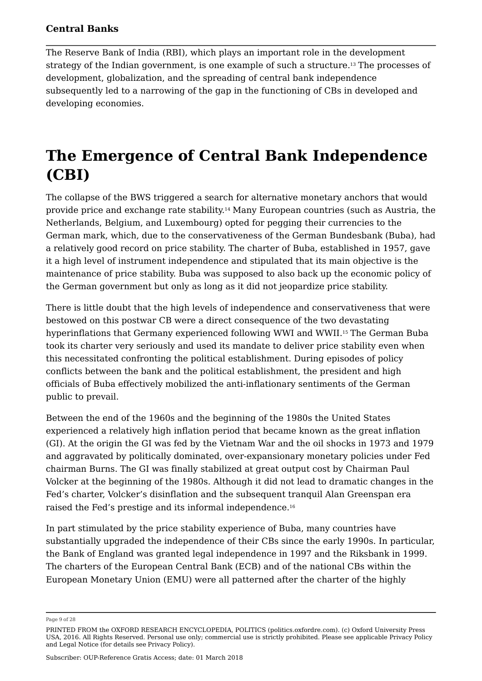The Reserve Bank of India (RBI), which plays an important role in the development strategy of the Indian government, is one example of such a structure.13 The processes of development, globalization, and the spreading of central bank independence subsequently led to a narrowing of the gap in the functioning of CBs in developed and developing economies.

# **The Emergence of Central Bank Independence (CBI)**

The collapse of the BWS triggered a search for alternative monetary anchors that would provide price and exchange rate stability.14 Many European countries (such as Austria, the Netherlands, Belgium, and Luxembourg) opted for pegging their currencies to the German mark, which, due to the conservativeness of the German Bundesbank (Buba), had a relatively good record on price stability. The charter of Buba, established in 1957, gave it a high level of instrument independence and stipulated that its main objective is the maintenance of price stability. Buba was supposed to also back up the economic policy of the German government but only as long as it did not jeopardize price stability.

There is little doubt that the high levels of independence and conservativeness that were bestowed on this postwar CB were a direct consequence of the two devastating hyperinflations that Germany experienced following WWI and WWII.15 The German Buba took its charter very seriously and used its mandate to deliver price stability even when this necessitated confronting the political establishment. During episodes of policy conflicts between the bank and the political establishment, the president and high officials of Buba effectively mobilized the anti-inflationary sentiments of the German public to prevail.

Between the end of the 1960s and the beginning of the 1980s the United States experienced a relatively high inflation period that became known as the great inflation (GI). At the origin the GI was fed by the Vietnam War and the oil shocks in 1973 and 1979 and aggravated by politically dominated, over-expansionary monetary policies under Fed chairman Burns. The GI was finally stabilized at great output cost by Chairman Paul Volcker at the beginning of the 1980s. Although it did not lead to dramatic changes in the Fed's charter, Volcker's disinflation and the subsequent tranquil Alan Greenspan era raised the Fed's prestige and its informal independence. 16

In part stimulated by the price stability experience of Buba, many countries have substantially upgraded the independence of their CBs since the early 1990s. In particular, the Bank of England was granted legal independence in 1997 and the Riksbank in 1999. The charters of the European Central Bank (ECB) and of the national CBs within the European Monetary Union (EMU) were all patterned after the charter of the highly

Page 9 of 28

PRINTED FROM the OXFORD RESEARCH ENCYCLOPEDIA, POLITICS (politics.oxfordre.com). (c) Oxford University Press USA, 2016. All Rights Reserved. Personal use only; commercial use is strictly prohibited. Please see applicable Privacy Policy and Legal Notice (for details see Privacy Policy).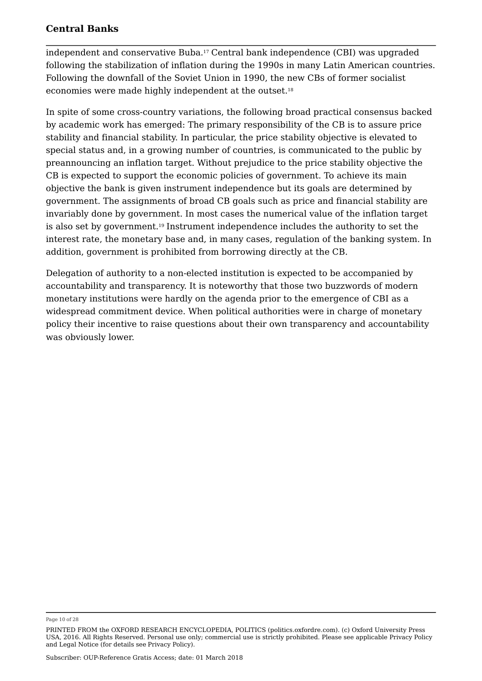independent and conservative Buba.17 Central bank independence (CBI) was upgraded following the stabilization of inflation during the 1990s in many Latin American countries. Following the downfall of the Soviet Union in 1990, the new CBs of former socialist economies were made highly independent at the outset. 18

In spite of some cross-country variations, the following broad practical consensus backed by academic work has emerged: The primary responsibility of the CB is to assure price stability and financial stability. In particular, the price stability objective is elevated to special status and, in a growing number of countries, is communicated to the public by preannouncing an inflation target. Without prejudice to the price stability objective the CB is expected to support the economic policies of government. To achieve its main objective the bank is given instrument independence but its goals are determined by government. The assignments of broad CB goals such as price and financial stability are invariably done by government. In most cases the numerical value of the inflation target is also set by government. $^{19}$  Instrument independence includes the authority to set the interest rate, the monetary base and, in many cases, regulation of the banking system. In addition, government is prohibited from borrowing directly at the CB.

Delegation of authority to a non-elected institution is expected to be accompanied by accountability and transparency. It is noteworthy that those two buzzwords of modern monetary institutions were hardly on the agenda prior to the emergence of CBI as a widespread commitment device. When political authorities were in charge of monetary policy their incentive to raise questions about their own transparency and accountability was obviously lower.

Page 10 of 28

PRINTED FROM the OXFORD RESEARCH ENCYCLOPEDIA, POLITICS (politics.oxfordre.com). (c) Oxford University Press USA, 2016. All Rights Reserved. Personal use only; commercial use is strictly prohibited. Please see applicable Privacy Policy and Legal Notice (for details see Privacy Policy).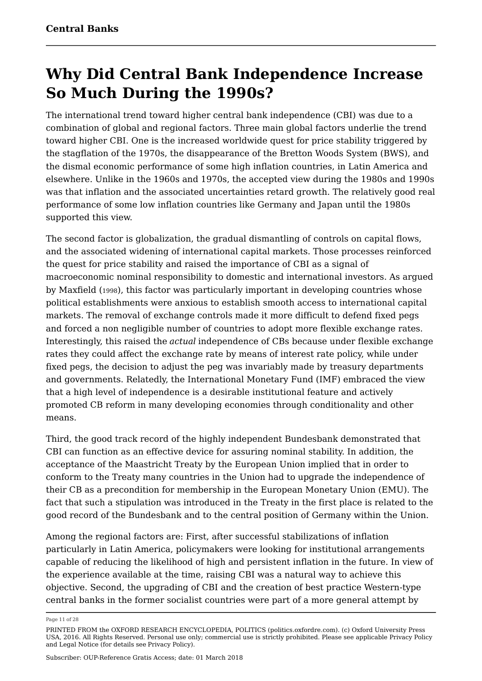# **Why Did Central Bank Independence Increase So Much During the 1990s?**

The international trend toward higher central bank independence (CBI) was due to a combination of global and regional factors. Three main global factors underlie the trend toward higher CBI. One is the increased worldwide quest for price stability triggered by the stagflation of the 1970s, the disappearance of the Bretton Woods System (BWS), and the dismal economic performance of some high inflation countries, in Latin America and elsewhere. Unlike in the 1960s and 1970s, the accepted view during the 1980s and 1990s was that inflation and the associated uncertainties retard growth. The relatively good real performance of some low inflation countries like Germany and Japan until the 1980s supported this view.

The second factor is globalization, the gradual dismantling of controls on capital flows, and the associated widening of international capital markets. Those processes reinforced the quest for price stability and raised the importance of CBI as a signal of macroeconomic nominal responsibility to domestic and international investors. As argued by Maxfield (1998), this factor was particularly important in developing countries whose political establishments were anxious to establish smooth access to international capital markets. The removal of exchange controls made it more difficult to defend fixed pegs and forced a non negligible number of countries to adopt more flexible exchange rates. Interestingly, this raised the *actual* independence of CBs because under flexible exchange rates they could affect the exchange rate by means of interest rate policy, while under fixed pegs, the decision to adjust the peg was invariably made by treasury departments and governments. Relatedly, the International Monetary Fund (IMF) embraced the view that a high level of independence is a desirable institutional feature and actively promoted CB reform in many developing economies through conditionality and other means.

Third, the good track record of the highly independent Bundesbank demonstrated that CBI can function as an effective device for assuring nominal stability. In addition, the acceptance of the Maastricht Treaty by the European Union implied that in order to conform to the Treaty many countries in the Union had to upgrade the independence of their CB as a precondition for membership in the European Monetary Union (EMU). The fact that such a stipulation was introduced in the Treaty in the first place is related to the good record of the Bundesbank and to the central position of Germany within the Union.

Among the regional factors are: First, after successful stabilizations of inflation particularly in Latin America, policymakers were looking for institutional arrangements capable of reducing the likelihood of high and persistent inflation in the future. In view of the experience available at the time, raising CBI was a natural way to achieve this objective. Second, the upgrading of CBI and the creation of best practice Western-type central banks in the former socialist countries were part of a more general attempt by

Page 11 of 28

PRINTED FROM the OXFORD RESEARCH ENCYCLOPEDIA, POLITICS (politics.oxfordre.com). (c) Oxford University Press USA, 2016. All Rights Reserved. Personal use only; commercial use is strictly prohibited. Please see applicable Privacy Policy and Legal Notice (for details see Privacy Policy).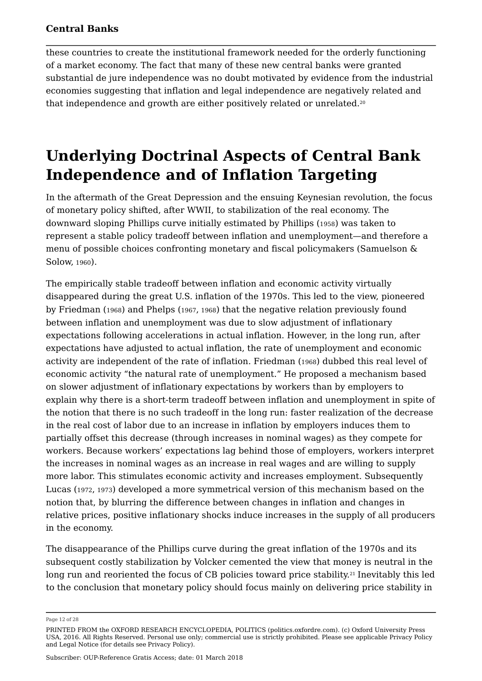these countries to create the institutional framework needed for the orderly functioning of a market economy. The fact that many of these new central banks were granted substantial de jure independence was no doubt motivated by evidence from the industrial economies suggesting that inflation and legal independence are negatively related and that independence and growth are either positively related or unrelated. 20

### **Underlying Doctrinal Aspects of Central Bank Independence and of Inflation Targeting**

In the aftermath of the Great Depression and the ensuing Keynesian revolution, the focus of monetary policy shifted, after WWII, to stabilization of the real economy. The downward sloping Phillips curve initially estimated by Phillips (1958) was taken to represent a stable policy tradeoff between inflation and unemployment—and therefore a menu of possible choices confronting monetary and fiscal policymakers (Samuelson & Solow, <sup>1960</sup>).

The empirically stable tradeoff between inflation and economic activity virtually disappeared during the great U.S. inflation of the 1970s. This led to the view, pioneered by Friedman (1968) and Phelps (1967, 1968) that the negative relation previously found between inflation and unemployment was due to slow adjustment of inflationary expectations following accelerations in actual inflation. However, in the long run, after expectations have adjusted to actual inflation, the rate of unemployment and economic activity are independent of the rate of inflation. Friedman (1968) dubbed this real level of economic activity "the natural rate of unemployment." He proposed a mechanism based on slower adjustment of inflationary expectations by workers than by employers to explain why there is a short-term tradeoff between inflation and unemployment in spite of the notion that there is no such tradeoff in the long run: faster realization of the decrease in the real cost of labor due to an increase in inflation by employers induces them to partially offset this decrease (through increases in nominal wages) as they compete for workers. Because workers' expectations lag behind those of employers, workers interpret the increases in nominal wages as an increase in real wages and are willing to supply more labor. This stimulates economic activity and increases employment. Subsequently Lucas (1972, <sup>1973</sup>) developed a more symmetrical version of this mechanism based on the notion that, by blurring the difference between changes in inflation and changes in relative prices, positive inflationary shocks induce increases in the supply of all producers in the economy.

The disappearance of the Phillips curve during the great inflation of the 1970s and its subsequent costly stabilization by Volcker cemented the view that money is neutral in the long run and reoriented the focus of CB policies toward price stability.<sup>21</sup> Inevitably this led to the conclusion that monetary policy should focus mainly on delivering price stability in

Page 12 of 28

PRINTED FROM the OXFORD RESEARCH ENCYCLOPEDIA, POLITICS (politics.oxfordre.com). (c) Oxford University Press USA, 2016. All Rights Reserved. Personal use only; commercial use is strictly prohibited. Please see applicable Privacy Policy and Legal Notice (for details see Privacy Policy).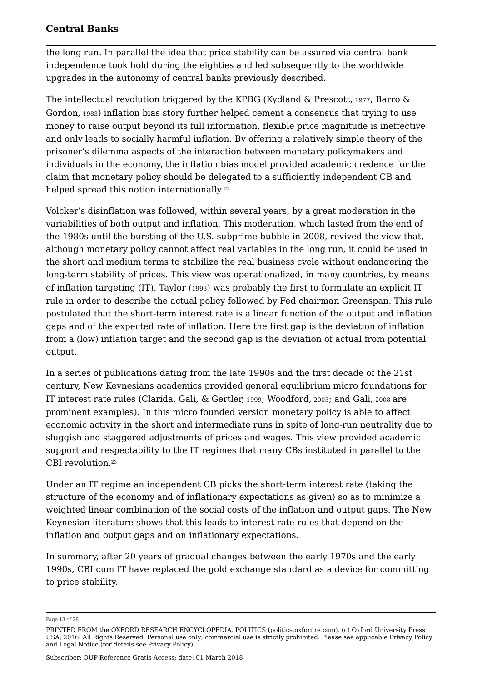the long run. In parallel the idea that price stability can be assured via central bank independence took hold during the eighties and led subsequently to the worldwide upgrades in the autonomy of central banks previously described.

The intellectual revolution triggered by the KPBG (Kydland & Prescott, 1977; Barro  $\&$ Gordon, <sup>1983</sup>) inflation bias story further helped cement a consensus that trying to use money to raise output beyond its full information, flexible price magnitude is ineffective and only leads to socially harmful inflation. By offering a relatively simple theory of the prisoner's dilemma aspects of the interaction between monetary policymakers and individuals in the economy, the inflation bias model provided academic credence for the claim that monetary policy should be delegated to a sufficiently independent CB and helped spread this notion internationally. 22

Volcker's disinflation was followed, within several years, by a great moderation in the variabilities of both output and inflation. This moderation, which lasted from the end of the 1980s until the bursting of the U.S. subprime bubble in 2008, revived the view that, although monetary policy cannot affect real variables in the long run, it could be used in the short and medium terms to stabilize the real business cycle without endangering the long-term stability of prices. This view was operationalized, in many countries, by means of inflation targeting (IT). Taylor (1993) was probably the first to formulate an explicit IT rule in order to describe the actual policy followed by Fed chairman Greenspan. This rule postulated that the short-term interest rate is a linear function of the output and inflation gaps and of the expected rate of inflation. Here the first gap is the deviation of inflation from a (low) inflation target and the second gap is the deviation of actual from potential output.

In a series of publications dating from the late 1990s and the first decade of the 21st century, New Keynesians academics provided general equilibrium micro foundations for IT interest rate rules (Clarida, Gali, & Gertler, 1999; Woodford, 2003; and Gali, 2008 are prominent examples). In this micro founded version monetary policy is able to affect economic activity in the short and intermediate runs in spite of long-run neutrality due to sluggish and staggered adjustments of prices and wages. This view provided academic support and respectability to the IT regimes that many CBs instituted in parallel to the CBI revolution. 23

Under an IT regime an independent CB picks the short-term interest rate (taking the structure of the economy and of inflationary expectations as given) so as to minimize a weighted linear combination of the social costs of the inflation and output gaps. The New Keynesian literature shows that this leads to interest rate rules that depend on the inflation and output gaps and on inflationary expectations.

In summary, after 20 years of gradual changes between the early 1970s and the early 1990s, CBI cum IT have replaced the gold exchange standard as a device for committing to price stability.

Page 13 of 28

PRINTED FROM the OXFORD RESEARCH ENCYCLOPEDIA, POLITICS (politics.oxfordre.com). (c) Oxford University Press USA, 2016. All Rights Reserved. Personal use only; commercial use is strictly prohibited. Please see applicable Privacy Policy and Legal Notice (for details see Privacy Policy).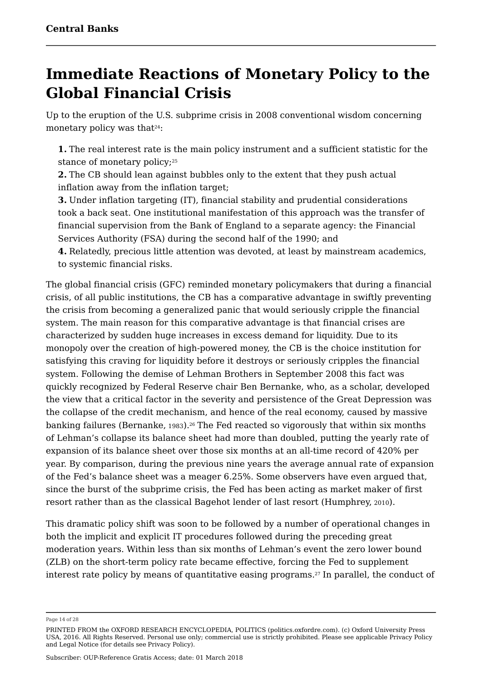### **Immediate Reactions of Monetary Policy to the Global Financial Crisis**

Up to the eruption of the U.S. subprime crisis in 2008 conventional wisdom concerning monetary policy was that $24$ : 24.

**1.** The real interest rate is the main policy instrument and a sufficient statistic for the stance of monetary policy;<sup>25</sup> 25

**2.** The CB should lean against bubbles only to the extent that they push actual inflation away from the inflation target;

**3.** Under inflation targeting (IT), financial stability and prudential considerations took a back seat. One institutional manifestation of this approach was the transfer of financial supervision from the Bank of England to a separate agency: the Financial Services Authority (FSA) during the second half of the 1990; and

**4.** Relatedly, precious little attention was devoted, at least by mainstream academics, to systemic financial risks.

The global financial crisis (GFC) reminded monetary policymakers that during a financial crisis, of all public institutions, the CB has a comparative advantage in swiftly preventing the crisis from becoming a generalized panic that would seriously cripple the financial system. The main reason for this comparative advantage is that financial crises are characterized by sudden huge increases in excess demand for liquidity. Due to its monopoly over the creation of high-powered money, the CB is the choice institution for satisfying this craving for liquidity before it destroys or seriously cripples the financial system. Following the demise of Lehman Brothers in September 2008 this fact was quickly recognized by Federal Reserve chair Ben Bernanke, who, as a scholar, developed the view that a critical factor in the severity and persistence of the Great Depression was the collapse of the credit mechanism, and hence of the real economy, caused by massive banking failures (Bernanke, 1983).<sup>26</sup> The Fed reacted so vigorously that within six months of Lehman's collapse its balance sheet had more than doubled, putting the yearly rate of expansion of its balance sheet over those six months at an all-time record of 420% per year. By comparison, during the previous nine years the average annual rate of expansion of the Fed's balance sheet was a meager 6.25%. Some observers have even argued that, since the burst of the subprime crisis, the Fed has been acting as market maker of first resort rather than as the classical Bagehot lender of last resort (Humphrey, <sup>2010</sup>).

This dramatic policy shift was soon to be followed by a number of operational changes in both the implicit and explicit IT procedures followed during the preceding great moderation years. Within less than six months of Lehman's event the zero lower bound (ZLB) on the short-term policy rate became effective, forcing the Fed to supplement interest rate policy by means of quantitative easing programs. $^\mathrm{27}$  In parallel, the conduct of

Page 14 of 28

PRINTED FROM the OXFORD RESEARCH ENCYCLOPEDIA, POLITICS (politics.oxfordre.com). (c) Oxford University Press USA, 2016. All Rights Reserved. Personal use only; commercial use is strictly prohibited. Please see applicable Privacy Policy and Legal Notice (for details see Privacy Policy).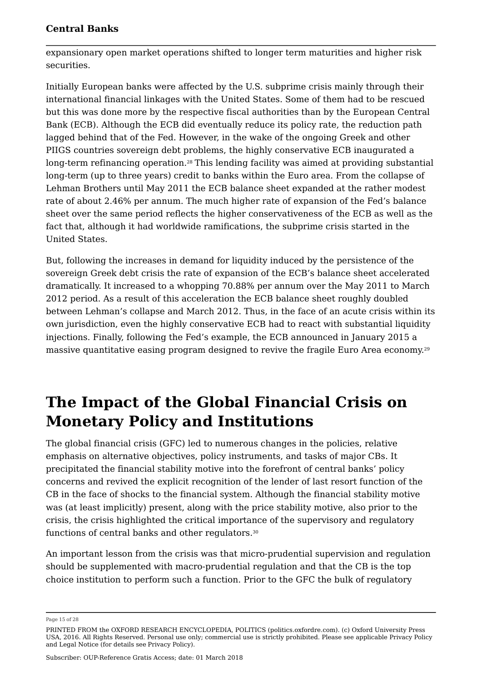expansionary open market operations shifted to longer term maturities and higher risk securities.

Initially European banks were affected by the U.S. subprime crisis mainly through their international financial linkages with the United States. Some of them had to be rescued but this was done more by the respective fiscal authorities than by the European Central Bank (ECB). Although the ECB did eventually reduce its policy rate, the reduction path lagged behind that of the Fed. However, in the wake of the ongoing Greek and other PIIGS countries sovereign debt problems, the highly conservative ECB inaugurated a long-term refinancing operation.<sup>28</sup> This lending facility was aimed at providing substantial long-term (up to three years) credit to banks within the Euro area. From the collapse of Lehman Brothers until May 2011 the ECB balance sheet expanded at the rather modest rate of about 2.46% per annum. The much higher rate of expansion of the Fed's balance sheet over the same period reflects the higher conservativeness of the ECB as well as the fact that, although it had worldwide ramifications, the subprime crisis started in the United States.

But, following the increases in demand for liquidity induced by the persistence of the sovereign Greek debt crisis the rate of expansion of the ECB's balance sheet accelerated dramatically. It increased to a whopping 70.88% per annum over the May 2011 to March 2012 period. As a result of this acceleration the ECB balance sheet roughly doubled between Lehman's collapse and March 2012. Thus, in the face of an acute crisis within its own jurisdiction, even the highly conservative ECB had to react with substantial liquidity injections. Finally, following the Fed's example, the ECB announced in January 2015 a massive quantitative easing program designed to revive the fragile Euro Area economy. 29

### **The Impact of the Global Financial Crisis on Monetary Policy and Institutions**

The global financial crisis (GFC) led to numerous changes in the policies, relative emphasis on alternative objectives, policy instruments, and tasks of major CBs. It precipitated the financial stability motive into the forefront of central banks' policy concerns and revived the explicit recognition of the lender of last resort function of the CB in the face of shocks to the financial system. Although the financial stability motive was (at least implicitly) present, along with the price stability motive, also prior to the crisis, the crisis highlighted the critical importance of the supervisory and regulatory functions of central banks and other regulators. 30

An important lesson from the crisis was that micro-prudential supervision and regulation should be supplemented with macro-prudential regulation and that the CB is the top choice institution to perform such a function. Prior to the GFC the bulk of regulatory

Page 15 of 28

PRINTED FROM the OXFORD RESEARCH ENCYCLOPEDIA, POLITICS (politics.oxfordre.com). (c) Oxford University Press USA, 2016. All Rights Reserved. Personal use only; commercial use is strictly prohibited. Please see applicable Privacy Policy and Legal Notice (for details see Privacy Policy).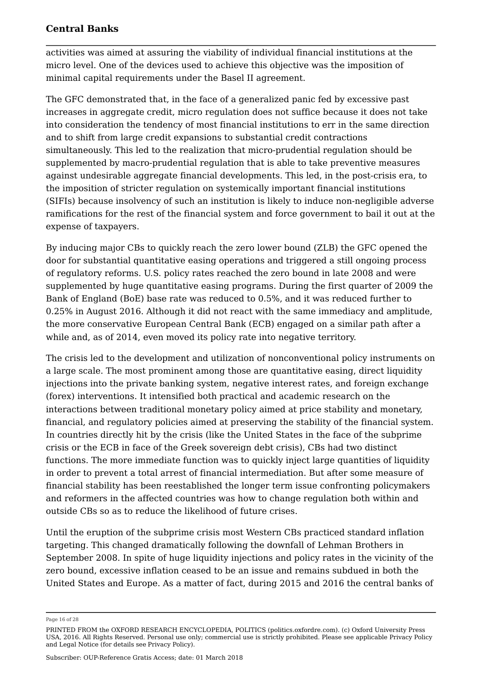activities was aimed at assuring the viability of individual financial institutions at the micro level. One of the devices used to achieve this objective was the imposition of minimal capital requirements under the Basel II agreement.

The GFC demonstrated that, in the face of a generalized panic fed by excessive past increases in aggregate credit, micro regulation does not suffice because it does not take into consideration the tendency of most financial institutions to err in the same direction and to shift from large credit expansions to substantial credit contractions simultaneously. This led to the realization that micro-prudential regulation should be supplemented by macro-prudential regulation that is able to take preventive measures against undesirable aggregate financial developments. This led, in the post-crisis era, to the imposition of stricter regulation on systemically important financial institutions (SIFIs) because insolvency of such an institution is likely to induce non-negligible adverse ramifications for the rest of the financial system and force government to bail it out at the expense of taxpayers.

By inducing major CBs to quickly reach the zero lower bound (ZLB) the GFC opened the door for substantial quantitative easing operations and triggered a still ongoing process of regulatory reforms. U.S. policy rates reached the zero bound in late 2008 and were supplemented by huge quantitative easing programs. During the first quarter of 2009 the Bank of England (BoE) base rate was reduced to 0.5%, and it was reduced further to 0.25% in August 2016. Although it did not react with the same immediacy and amplitude, the more conservative European Central Bank (ECB) engaged on a similar path after a while and, as of 2014, even moved its policy rate into negative territory.

The crisis led to the development and utilization of nonconventional policy instruments on a large scale. The most prominent among those are quantitative easing, direct liquidity injections into the private banking system, negative interest rates, and foreign exchange (forex) interventions. It intensified both practical and academic research on the interactions between traditional monetary policy aimed at price stability and monetary, financial, and regulatory policies aimed at preserving the stability of the financial system. In countries directly hit by the crisis (like the United States in the face of the subprime crisis or the ECB in face of the Greek sovereign debt crisis), CBs had two distinct functions. The more immediate function was to quickly inject large quantities of liquidity in order to prevent a total arrest of financial intermediation. But after some measure of financial stability has been reestablished the longer term issue confronting policymakers and reformers in the affected countries was how to change regulation both within and outside CBs so as to reduce the likelihood of future crises.

Until the eruption of the subprime crisis most Western CBs practiced standard inflation targeting. This changed dramatically following the downfall of Lehman Brothers in September 2008. In spite of huge liquidity injections and policy rates in the vicinity of the zero bound, excessive inflation ceased to be an issue and remains subdued in both the United States and Europe. As a matter of fact, during 2015 and 2016 the central banks of

Page 16 of 28

PRINTED FROM the OXFORD RESEARCH ENCYCLOPEDIA, POLITICS (politics.oxfordre.com). (c) Oxford University Press USA, 2016. All Rights Reserved. Personal use only; commercial use is strictly prohibited. Please see applicable Privacy Policy and Legal Notice (for details see Privacy Policy).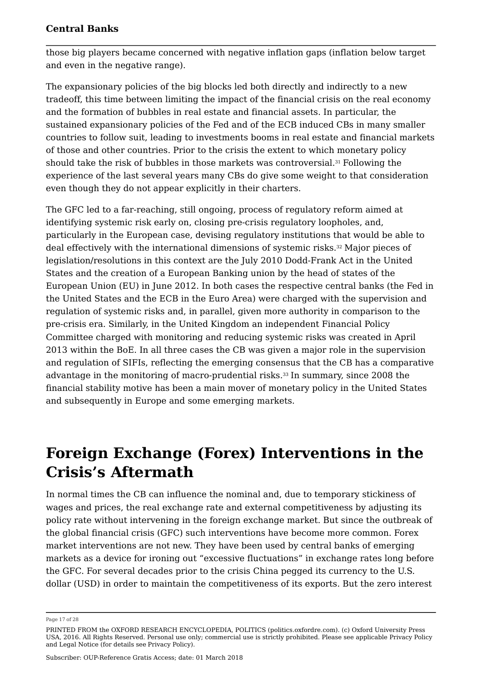those big players became concerned with negative inflation gaps (inflation below target and even in the negative range).

The expansionary policies of the big blocks led both directly and indirectly to a new tradeoff, this time between limiting the impact of the financial crisis on the real economy and the formation of bubbles in real estate and financial assets. In particular, the sustained expansionary policies of the Fed and of the ECB induced CBs in many smaller countries to follow suit, leading to investments booms in real estate and financial markets of those and other countries. Prior to the crisis the extent to which monetary policy should take the risk of bubbles in those markets was controversial. $^{\textrm{\tiny{31}}}$  Following the experience of the last several years many CBs do give some weight to that consideration even though they do not appear explicitly in their charters.

The GFC led to a far-reaching, still ongoing, process of regulatory reform aimed at identifying systemic risk early on, closing pre-crisis regulatory loopholes, and, particularly in the European case, devising regulatory institutions that would be able to deal effectively with the international dimensions of systemic risks.32 Major pieces of legislation/resolutions in this context are the July 2010 Dodd-Frank Act in the United States and the creation of a European Banking union by the head of states of the European Union (EU) in June 2012. In both cases the respective central banks (the Fed in the United States and the ECB in the Euro Area) were charged with the supervision and regulation of systemic risks and, in parallel, given more authority in comparison to the pre-crisis era. Similarly, in the United Kingdom an independent Financial Policy Committee charged with monitoring and reducing systemic risks was created in April 2013 within the BoE. In all three cases the CB was given a major role in the supervision and regulation of SIFIs, reflecting the emerging consensus that the CB has a comparative advantage in the monitoring of macro-prudential risks. $^{\rm 33}$  In summary, since 2008 the financial stability motive has been a main mover of monetary policy in the United States and subsequently in Europe and some emerging markets.

### **Foreign Exchange (Forex) Interventions in the Crisis's Aftermath**

In normal times the CB can influence the nominal and, due to temporary stickiness of wages and prices, the real exchange rate and external competitiveness by adjusting its policy rate without intervening in the foreign exchange market. But since the outbreak of the global financial crisis (GFC) such interventions have become more common. Forex market interventions are not new. They have been used by central banks of emerging markets as a device for ironing out "excessive fluctuations" in exchange rates long before the GFC. For several decades prior to the crisis China pegged its currency to the U.S. dollar (USD) in order to maintain the competitiveness of its exports. But the zero interest

Page 17 of 28

PRINTED FROM the OXFORD RESEARCH ENCYCLOPEDIA, POLITICS (politics.oxfordre.com). (c) Oxford University Press USA, 2016. All Rights Reserved. Personal use only; commercial use is strictly prohibited. Please see applicable Privacy Policy and Legal Notice (for details see Privacy Policy).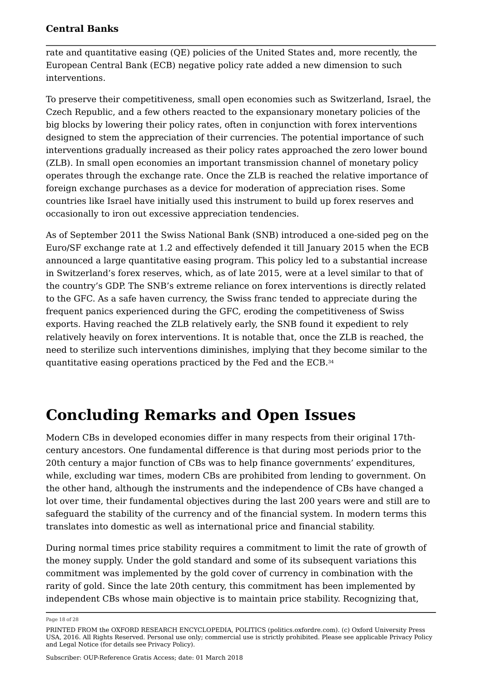rate and quantitative easing (QE) policies of the United States and, more recently, the European Central Bank (ECB) negative policy rate added a new dimension to such interventions.

To preserve their competitiveness, small open economies such as Switzerland, Israel, the Czech Republic, and a few others reacted to the expansionary monetary policies of the big blocks by lowering their policy rates, often in conjunction with forex interventions designed to stem the appreciation of their currencies. The potential importance of such interventions gradually increased as their policy rates approached the zero lower bound (ZLB). In small open economies an important transmission channel of monetary policy operates through the exchange rate. Once the ZLB is reached the relative importance of foreign exchange purchases as a device for moderation of appreciation rises. Some countries like Israel have initially used this instrument to build up forex reserves and occasionally to iron out excessive appreciation tendencies.

As of September 2011 the Swiss National Bank (SNB) introduced a one-sided peg on the Euro/SF exchange rate at 1.2 and effectively defended it till January 2015 when the ECB announced a large quantitative easing program. This policy led to a substantial increase in Switzerland's forex reserves, which, as of late 2015, were at a level similar to that of the country's GDP. The SNB's extreme reliance on forex interventions is directly related to the GFC. As a safe haven currency, the Swiss franc tended to appreciate during the frequent panics experienced during the GFC, eroding the competitiveness of Swiss exports. Having reached the ZLB relatively early, the SNB found it expedient to rely relatively heavily on forex interventions. It is notable that, once the ZLB is reached, the need to sterilize such interventions diminishes, implying that they become similar to the quantitative easing operations practiced by the Fed and the ECB. 34

### **Concluding Remarks and Open Issues**

Modern CBs in developed economies differ in many respects from their original 17thcentury ancestors. One fundamental difference is that during most periods prior to the 20th century a major function of CBs was to help finance governments' expenditures, while, excluding war times, modern CBs are prohibited from lending to government. On the other hand, although the instruments and the independence of CBs have changed a lot over time, their fundamental objectives during the last 200 years were and still are to safeguard the stability of the currency and of the financial system. In modern terms this translates into domestic as well as international price and financial stability.

During normal times price stability requires a commitment to limit the rate of growth of the money supply. Under the gold standard and some of its subsequent variations this commitment was implemented by the gold cover of currency in combination with the rarity of gold. Since the late 20th century, this commitment has been implemented by independent CBs whose main objective is to maintain price stability. Recognizing that,

Page 18 of 28

PRINTED FROM the OXFORD RESEARCH ENCYCLOPEDIA, POLITICS (politics.oxfordre.com). (c) Oxford University Press USA, 2016. All Rights Reserved. Personal use only; commercial use is strictly prohibited. Please see applicable Privacy Policy and Legal Notice (for details see Privacy Policy).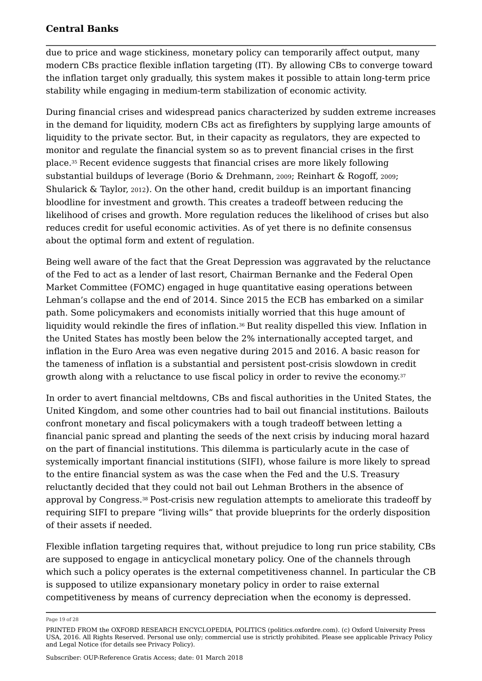due to price and wage stickiness, monetary policy can temporarily affect output, many modern CBs practice flexible inflation targeting (IT). By allowing CBs to converge toward the inflation target only gradually, this system makes it possible to attain long-term price stability while engaging in medium-term stabilization of economic activity.

During financial crises and widespread panics characterized by sudden extreme increases in the demand for liquidity, modern CBs act as firefighters by supplying large amounts of liquidity to the private sector. But, in their capacity as regulators, they are expected to monitor and regulate the financial system so as to prevent financial crises in the first place. $^{\rm 35}$  Recent evidence suggests that financial crises are more likely following substantial buildups of leverage (Borio & Drehmann, <sup>2009</sup>; Reinhart & Rogoff, <sup>2009</sup>; Shularick  $\&$  Taylor, 2012). On the other hand, credit buildup is an important financing bloodline for investment and growth. This creates a tradeoff between reducing the likelihood of crises and growth. More regulation reduces the likelihood of crises but also reduces credit for useful economic activities. As of yet there is no definite consensus about the optimal form and extent of regulation.

Being well aware of the fact that the Great Depression was aggravated by the reluctance of the Fed to act as a lender of last resort, Chairman Bernanke and the Federal Open Market Committee (FOMC) engaged in huge quantitative easing operations between Lehman's collapse and the end of 2014. Since 2015 the ECB has embarked on a similar path. Some policymakers and economists initially worried that this huge amount of liquidity would rekindle the fires of inflation. $^{\rm 36}$  But reality dispelled this view. Inflation in the United States has mostly been below the 2% internationally accepted target, and inflation in the Euro Area was even negative during 2015 and 2016. A basic reason for the tameness of inflation is a substantial and persistent post-crisis slowdown in credit growth along with a reluctance to use fiscal policy in order to revive the economy.<sup>37</sup> 37

In order to avert financial meltdowns, CBs and fiscal authorities in the United States, the United Kingdom, and some other countries had to bail out financial institutions. Bailouts confront monetary and fiscal policymakers with a tough tradeoff between letting a financial panic spread and planting the seeds of the next crisis by inducing moral hazard on the part of financial institutions. This dilemma is particularly acute in the case of systemically important financial institutions (SIFI), whose failure is more likely to spread to the entire financial system as was the case when the Fed and the U.S. Treasury reluctantly decided that they could not bail out Lehman Brothers in the absence of approval by Congress. $^{\scriptscriptstyle 38}$  Post-crisis new regulation attempts to ameliorate this tradeoff by requiring SIFI to prepare "living wills" that provide blueprints for the orderly disposition of their assets if needed.

Flexible inflation targeting requires that, without prejudice to long run price stability, CBs are supposed to engage in anticyclical monetary policy. One of the channels through which such a policy operates is the external competitiveness channel. In particular the CB is supposed to utilize expansionary monetary policy in order to raise external competitiveness by means of currency depreciation when the economy is depressed.

Page 19 of 28

PRINTED FROM the OXFORD RESEARCH ENCYCLOPEDIA, POLITICS (politics.oxfordre.com). (c) Oxford University Press USA, 2016. All Rights Reserved. Personal use only; commercial use is strictly prohibited. Please see applicable Privacy Policy and Legal Notice (for details see Privacy Policy).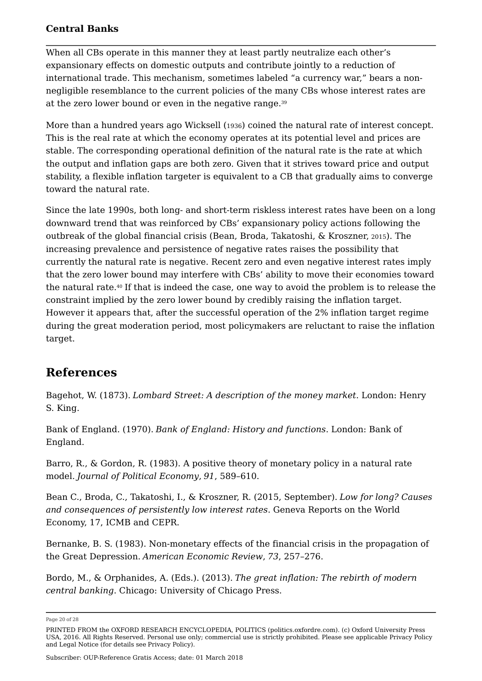When all CBs operate in this manner they at least partly neutralize each other's expansionary effects on domestic outputs and contribute jointly to a reduction of international trade. This mechanism, sometimes labeled "a currency war," bears a nonnegligible resemblance to the current policies of the many CBs whose interest rates are at the zero lower bound or even in the negative range. 39

More than a hundred years ago Wicksell (1936) coined the natural rate of interest concept. This is the real rate at which the economy operates at its potential level and prices are stable. The corresponding operational definition of the natural rate is the rate at which the output and inflation gaps are both zero. Given that it strives toward price and output stability, a flexible inflation targeter is equivalent to a CB that gradually aims to converge toward the natural rate.

Since the late 1990s, both long- and short-term riskless interest rates have been on a long downward trend that was reinforced by CBs' expansionary policy actions following the outbreak of the global financial crisis (Bean, Broda, Takatoshi, & Kroszner, <sup>2015</sup>). The increasing prevalence and persistence of negative rates raises the possibility that currently the natural rate is negative. Recent zero and even negative interest rates imply that the zero lower bound may interfere with CBs' ability to move their economies toward the natural rate. $^{40}$  If that is indeed the case, one way to avoid the problem is to release the constraint implied by the zero lower bound by credibly raising the inflation target. However it appears that, after the successful operation of the 2% inflation target regime during the great moderation period, most policymakers are reluctant to raise the inflation target.

### **References**

Bagehot, W. (1873). *Lombard Street: A description of the money market*. London: Henry S. King.

Bank of England. (1970). *Bank of England: History and functions*. London: Bank of England.

Barro, R., & Gordon, R. (1983). A positive theory of monetary policy in a natural rate model. *Journal of Political Economy*, *91*, 589–610.

Bean C., Broda, C., Takatoshi, I., & Kroszner, R. (2015, September). *Low for long? Causes and consequences of persistently low interest rates*. Geneva Reports on the World Economy, 17, ICMB and CEPR.

Bernanke, B. S. (1983). Non-monetary effects of the financial crisis in the propagation of the Great Depression. *American Economic Review*, *73*, 257–276.

Bordo, M., & Orphanides, A. (Eds.). (2013). *The great inflation: The rebirth of modern central banking*. Chicago: University of Chicago Press.

Subscriber: OUP-Reference Gratis Access; date: 01 March 2018

Page 20 of 28

PRINTED FROM the OXFORD RESEARCH ENCYCLOPEDIA, POLITICS (politics.oxfordre.com). (c) Oxford University Press USA, 2016. All Rights Reserved. Personal use only; commercial use is strictly prohibited. Please see applicable Privacy Policy and Legal Notice (for details see Privacy Policy).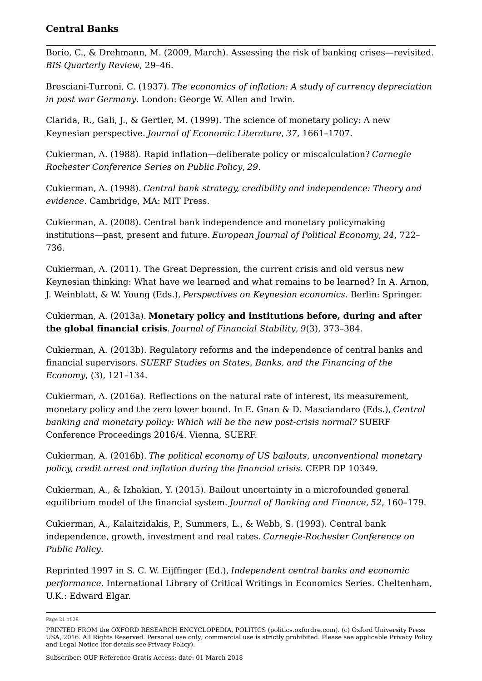Borio, C., & Drehmann, M. (2009, March). Assessing the risk of banking crises—revisited. *BIS Quarterly Review*, 29–46.

Bresciani-Turroni, C. (1937). *The economics of inflation: A study of currency depreciation in post war Germany*. London: George W. Allen and Irwin.

Clarida, R., Gali, J., & Gertler, M. (1999). The science of monetary policy: A new Keynesian perspective. *Journal of Economic Literature*, *37*, 1661–1707.

Cukierman, A. (1988). Rapid inflation—deliberate policy or miscalculation? *Carnegie Rochester Conference Series on Public Policy*, *29*.

Cukierman, A. (1998). *Central bank strategy, credibility and independence: Theory and evidence*. Cambridge, MA: MIT Press.

Cukierman, A. (2008). Central bank independence and monetary policymaking institutions—past, present and future. *European Journal of Political Economy*, *24*, 722– 736.

Cukierman, A. (2011). The Great Depression, the current crisis and old versus new Keynesian thinking: What have we learned and what remains to be learned? In A. Arnon, J. Weinblatt, & W. Young (Eds.), *Perspectives on Keynesian economics*. Berlin: Springer.

Cukierman, A. (2013a). **Monetary policy and institutions before, during and after the global financial crisis**. *Journal of Financial Stability*, *9*(3), 373–384.

Cukierman, A. (2013b). Regulatory reforms and the independence of central banks and financial supervisors. *SUERF Studies on States, Banks, and the Financing of the Economy*, (3), 121–134.

Cukierman, A. (2016a). Reflections on the natural rate of interest, its measurement, monetary policy and the zero lower bound. In E. Gnan & D. Masciandaro (Eds.), *Central banking and monetary policy: Which will be the new post-crisis normal?* SUERF Conference Proceedings 2016/4. Vienna, SUERF.

Cukierman, A. (2016b). *The political economy of US bailouts, unconventional monetary policy, credit arrest and inflation during the financial crisis*. CEPR DP 10349.

Cukierman, A., & Izhakian, Y. (2015). Bailout uncertainty in a microfounded general equilibrium model of the financial system. *Journal of Banking and Finance*, *52*, 160–179.

Cukierman, A., Kalaitzidakis, P., Summers, L., & Webb, S. (1993). Central bank independence, growth, investment and real rates. *Carnegie-Rochester Conference on Public Policy*.

Reprinted 1997 in S. C. W. Eijffinger (Ed.), *Independent central banks and economic performance*. International Library of Critical Writings in Economics Series. Cheltenham, U.K.: Edward Elgar.

Page 21 of 28

PRINTED FROM the OXFORD RESEARCH ENCYCLOPEDIA, POLITICS (politics.oxfordre.com). (c) Oxford University Press USA, 2016. All Rights Reserved. Personal use only; commercial use is strictly prohibited. Please see applicable Privacy Policy and Legal Notice (for details see Privacy Policy).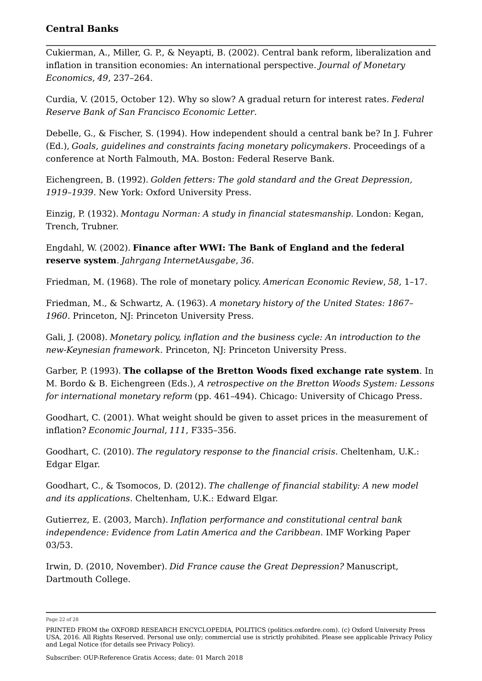Cukierman, A., Miller, G. P., & Neyapti, B. (2002). Central bank reform, liberalization and inflation in transition economies: An international perspective. *Journal of Monetary Economics*, *49*, 237–264.

Curdia, V. (2015, October 12). Why so slow? A gradual return for interest rates. *Federal Reserve Bank of San Francisco Economic Letter*.

Debelle, G., & Fischer, S. (1994). How independent should a central bank be? In J. Fuhrer (Ed.), *Goals, guidelines and constraints facing monetary policymakers*. Proceedings of a conference at North Falmouth, MA. Boston: Federal Reserve Bank.

Eichengreen, B. (1992). *Golden fetters: The gold standard and the Great Depression, 1919–1939*. New York: Oxford University Press.

Einzig, P. (1932). *Montagu Norman: A study in financial statesmanship*. London: Kegan, Trench, Trubner.

Engdahl, W. (2002). **Finance after WWI: The Bank of England and the federal reserve system**. *Jahrgang InternetAusgabe*, *36*.

Friedman, M. (1968). The role of monetary policy. *American Economic Review*, *58*, 1–17.

Friedman, M., & Schwartz, A. (1963). *A monetary history of the United States: 1867– 1960*. Princeton, NJ: Princeton University Press.

Gali, J. (2008). *Monetary policy, inflation and the business cycle: An introduction to the new-Keynesian framework*. Princeton, NJ: Princeton University Press.

Garber, P. (1993). **The collapse of the Bretton Woods fixed exchange rate system**. In M. Bordo & B. Eichengreen (Eds.), *A retrospective on the Bretton Woods System: Lessons for international monetary reform* (pp. 461–494). Chicago: University of Chicago Press.

Goodhart, C. (2001). What weight should be given to asset prices in the measurement of inflation? *Economic Journal*, *111*, F335–356.

Goodhart, C. (2010). *The regulatory response to the financial crisis*. Cheltenham, U.K.: Edgar Elgar.

Goodhart, C., & Tsomocos, D. (2012). *The challenge of financial stability: A new model and its applications*. Cheltenham, U.K.: Edward Elgar.

Gutierrez, E. (2003, March). *Inflation performance and constitutional central bank independence: Evidence from Latin America and the Caribbean*. IMF Working Paper 03/53.

Irwin, D. (2010, November). *Did France cause the Great Depression?* Manuscript, Dartmouth College.

Page 22 of 28

PRINTED FROM the OXFORD RESEARCH ENCYCLOPEDIA, POLITICS (politics.oxfordre.com). (c) Oxford University Press USA, 2016. All Rights Reserved. Personal use only; commercial use is strictly prohibited. Please see applicable Privacy Policy and Legal Notice (for details see Privacy Policy).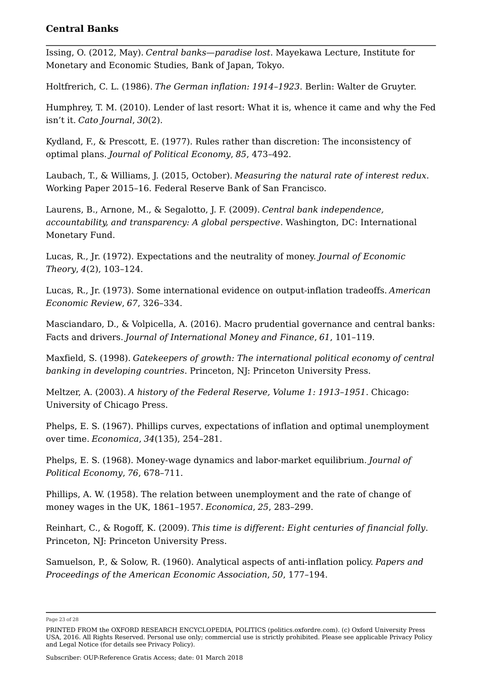Issing, O. (2012, May). *Central banks—paradise lost*. Mayekawa Lecture, Institute for Monetary and Economic Studies, Bank of Japan, Tokyo.

Holtfrerich, C. L. (1986). *The German inflation: 1914–1923*. Berlin: Walter de Gruyter.

Humphrey, T. M. (2010). Lender of last resort: What it is, whence it came and why the Fed isn't it. *Cato Journal*, *30*(2).

Kydland, F., & Prescott, E. (1977). Rules rather than discretion: The inconsistency of optimal plans. *Journal of Political Economy*, *85*, 473–492.

Laubach, T., & Williams, J. (2015, October). *Measuring the natural rate of interest redux*. Working Paper 2015–16. Federal Reserve Bank of San Francisco.

Laurens, B., Arnone, M., & Segalotto, J. F. (2009). *Central bank independence, accountability, and transparency: A global perspective*. Washington, DC: International Monetary Fund.

Lucas, R., Jr. (1972). Expectations and the neutrality of money. *Journal of Economic Theory*, *4*(2), 103–124.

Lucas, R., Jr. (1973). Some international evidence on output-inflation tradeoffs. *American Economic Review*, *67*, 326–334.

Masciandaro, D., & Volpicella, A. (2016). Macro prudential governance and central banks: Facts and drivers. *Journal of International Money and Finance*, *61*, 101–119.

Maxfield, S. (1998). *Gatekeepers of growth: The international political economy of central banking in developing countries*. Princeton, NJ: Princeton University Press.

Meltzer, A. (2003). *A history of the Federal Reserve, Volume 1: 1913–1951*. Chicago: University of Chicago Press.

Phelps, E. S. (1967). Phillips curves, expectations of inflation and optimal unemployment over time. *Economica*, *34*(135), 254–281.

Phelps, E. S. (1968). Money-wage dynamics and labor-market equilibrium. *Journal of Political Economy*, *76*, 678–711.

Phillips, A. W. (1958). The relation between unemployment and the rate of change of money wages in the UK, 1861–1957. *Economica*, *25*, 283–299.

Reinhart, C., & Rogoff, K. (2009). *This time is different: Eight centuries of financial folly*. Princeton, NJ: Princeton University Press.

Samuelson, P., & Solow, R. (1960). Analytical aspects of anti-inflation policy. *Papers and Proceedings of the American Economic Association*, *50*, 177–194.

Page 23 of 28

PRINTED FROM the OXFORD RESEARCH ENCYCLOPEDIA, POLITICS (politics.oxfordre.com). (c) Oxford University Press USA, 2016. All Rights Reserved. Personal use only; commercial use is strictly prohibited. Please see applicable Privacy Policy and Legal Notice (for details see Privacy Policy).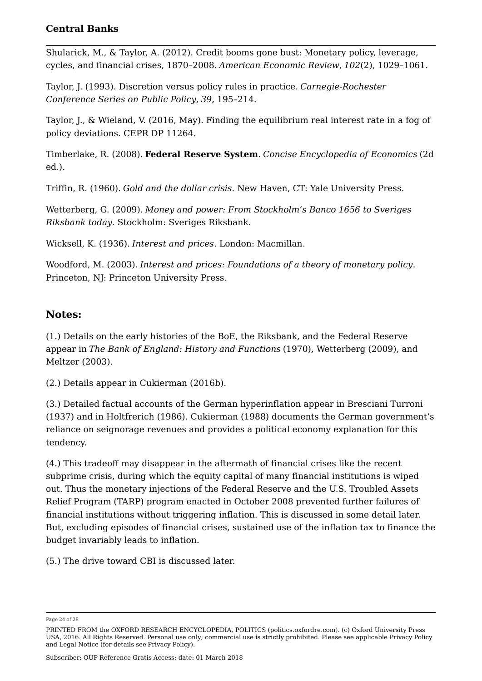Shularick, M., & Taylor, A. (2012). Credit booms gone bust: Monetary policy, leverage, cycles, and financial crises, 1870–2008. *American Economic Review*, *102*(2), 1029–1061.

Taylor, J. (1993). Discretion versus policy rules in practice. *Carnegie-Rochester Conference Series on Public Policy*, *39*, 195–214.

Taylor, J., & Wieland, V. (2016, May). Finding the equilibrium real interest rate in a fog of policy deviations. CEPR DP 11264.

Timberlake, R. (2008). **Federal Reserve System**. *Concise Encyclopedia of Economics* (2d ed.).

Triffin, R. (1960). *Gold and the dollar crisis*. New Haven, CT: Yale University Press.

Wetterberg, G. (2009). *Money and power: From Stockholm's Banco 1656 to Sveriges Riksbank today*. Stockholm: Sveriges Riksbank.

Wicksell, K. (1936). *Interest and prices*. London: Macmillan.

Woodford, M. (2003). *Interest and prices: Foundations of a theory of monetary policy*. Princeton, NJ: Princeton University Press.

### **Notes:**

(1.) Details on the early histories of the BoE, the Riksbank, and the Federal Reserve appear in *The Bank of England: History and Functions* (1970), Wetterberg (2009), and Meltzer (2003).

(2.) Details appear in Cukierman (2016b).

(3.) Detailed factual accounts of the German hyperinflation appear in Bresciani Turroni (1937) and in Holtfrerich (1986). Cukierman (1988) documents the German government's reliance on seignorage revenues and provides a political economy explanation for this tendency.

(4.) This tradeoff may disappear in the aftermath of financial crises like the recent subprime crisis, during which the equity capital of many financial institutions is wiped out. Thus the monetary injections of the Federal Reserve and the U.S. Troubled Assets Relief Program (TARP) program enacted in October 2008 prevented further failures of financial institutions without triggering inflation. This is discussed in some detail later. But, excluding episodes of financial crises, sustained use of the inflation tax to finance the budget invariably leads to inflation.

(5.) The drive toward CBI is discussed later.

Page 24 of 28

PRINTED FROM the OXFORD RESEARCH ENCYCLOPEDIA, POLITICS (politics.oxfordre.com). (c) Oxford University Press USA, 2016. All Rights Reserved. Personal use only; commercial use is strictly prohibited. Please see applicable Privacy Policy and Legal Notice (for details see Privacy Policy).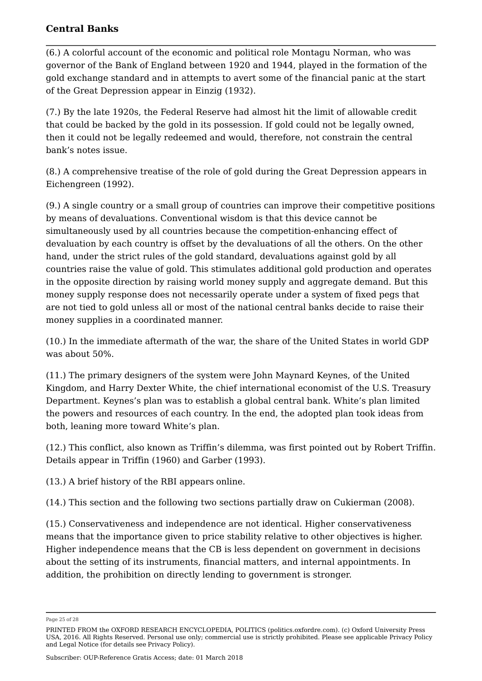(6.) A colorful account of the economic and political role Montagu Norman, who was governor of the Bank of England between 1920 and 1944, played in the formation of the gold exchange standard and in attempts to avert some of the financial panic at the start of the Great Depression appear in Einzig (1932).

(7.) By the late 1920s, the Federal Reserve had almost hit the limit of allowable credit that could be backed by the gold in its possession. If gold could not be legally owned, then it could not be legally redeemed and would, therefore, not constrain the central bank's notes issue.

(8.) A comprehensive treatise of the role of gold during the Great Depression appears in Eichengreen (1992).

(9.) A single country or a small group of countries can improve their competitive positions by means of devaluations. Conventional wisdom is that this device cannot be simultaneously used by all countries because the competition-enhancing effect of devaluation by each country is offset by the devaluations of all the others. On the other hand, under the strict rules of the gold standard, devaluations against gold by all countries raise the value of gold. This stimulates additional gold production and operates in the opposite direction by raising world money supply and aggregate demand. But this money supply response does not necessarily operate under a system of fixed pegs that are not tied to gold unless all or most of the national central banks decide to raise their money supplies in a coordinated manner.

(10.) In the immediate aftermath of the war, the share of the United States in world GDP was about 50%.

(11.) The primary designers of the system were John Maynard Keynes, of the United Kingdom, and Harry Dexter White, the chief international economist of the U.S. Treasury Department. Keynes's plan was to establish a global central bank. White's plan limited the powers and resources of each country. In the end, the adopted plan took ideas from both, leaning more toward White's plan.

(12.) This conflict, also known as Triffin's dilemma, was first pointed out by Robert Triffin. Details appear in Triffin (1960) and Garber (1993).

(13.) A brief history of the RBI appears online.

(14.) This section and the following two sections partially draw on Cukierman (2008).

(15.) Conservativeness and independence are not identical. Higher conservativeness means that the importance given to price stability relative to other objectives is higher. Higher independence means that the CB is less dependent on government in decisions about the setting of its instruments, financial matters, and internal appointments. In addition, the prohibition on directly lending to government is stronger.

Page 25 of 28

PRINTED FROM the OXFORD RESEARCH ENCYCLOPEDIA, POLITICS (politics.oxfordre.com). (c) Oxford University Press USA, 2016. All Rights Reserved. Personal use only; commercial use is strictly prohibited. Please see applicable Privacy Policy and Legal Notice (for details see Privacy Policy).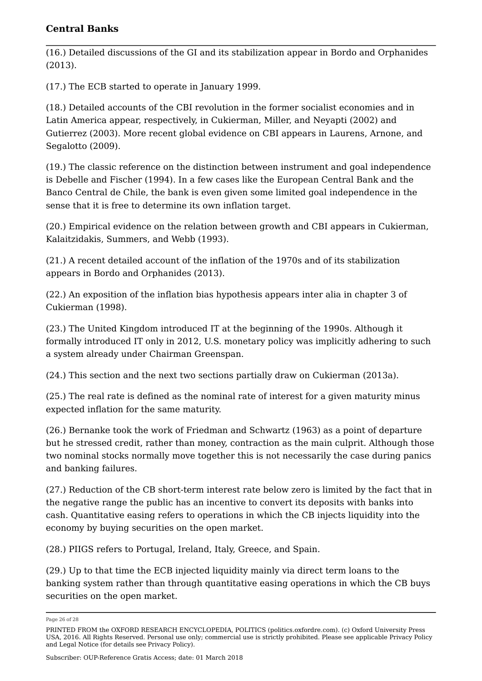(16.) Detailed discussions of the GI and its stabilization appear in Bordo and Orphanides (2013).

(17.) The ECB started to operate in January 1999.

(18.) Detailed accounts of the CBI revolution in the former socialist economies and in Latin America appear, respectively, in Cukierman, Miller, and Neyapti (2002) and Gutierrez (2003). More recent global evidence on CBI appears in Laurens, Arnone, and Segalotto (2009).

(19.) The classic reference on the distinction between instrument and goal independence is Debelle and Fischer (1994). In a few cases like the European Central Bank and the Banco Central de Chile, the bank is even given some limited goal independence in the sense that it is free to determine its own inflation target.

(20.) Empirical evidence on the relation between growth and CBI appears in Cukierman, Kalaitzidakis, Summers, and Webb (1993).

(21.) A recent detailed account of the inflation of the 1970s and of its stabilization appears in Bordo and Orphanides (2013).

(22.) An exposition of the inflation bias hypothesis appears inter alia in chapter 3 of Cukierman (1998).

(23.) The United Kingdom introduced IT at the beginning of the 1990s. Although it formally introduced IT only in 2012, U.S. monetary policy was implicitly adhering to such a system already under Chairman Greenspan.

(24.) This section and the next two sections partially draw on Cukierman (2013a).

(25.) The real rate is defined as the nominal rate of interest for a given maturity minus expected inflation for the same maturity.

(26.) Bernanke took the work of Friedman and Schwartz (1963) as a point of departure but he stressed credit, rather than money, contraction as the main culprit. Although those two nominal stocks normally move together this is not necessarily the case during panics and banking failures.

(27.) Reduction of the CB short-term interest rate below zero is limited by the fact that in the negative range the public has an incentive to convert its deposits with banks into cash. Quantitative easing refers to operations in which the CB injects liquidity into the economy by buying securities on the open market.

(28.) PIIGS refers to Portugal, Ireland, Italy, Greece, and Spain.

(29.) Up to that time the ECB injected liquidity mainly via direct term loans to the banking system rather than through quantitative easing operations in which the CB buys securities on the open market.

Page 26 of 28

PRINTED FROM the OXFORD RESEARCH ENCYCLOPEDIA, POLITICS (politics.oxfordre.com). (c) Oxford University Press USA, 2016. All Rights Reserved. Personal use only; commercial use is strictly prohibited. Please see applicable Privacy Policy and Legal Notice (for details see Privacy Policy).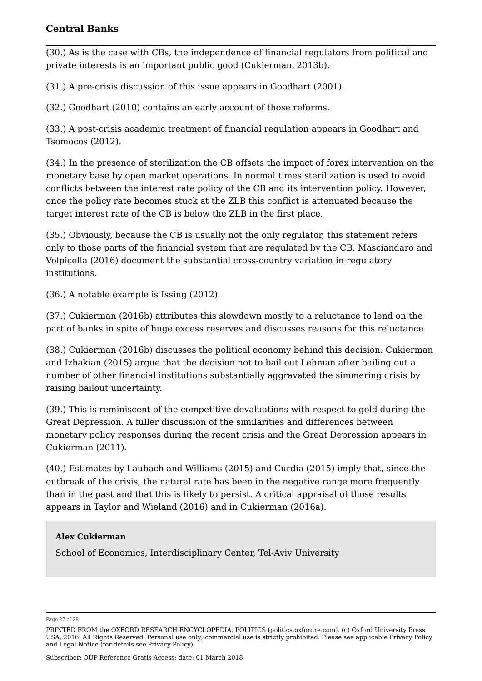(30.) As is the case with CBs, the independence of financial regulators from political and private interests is an important public good (Cukierman, 2013b).

(31.) A pre-crisis discussion of this issue appears in Goodhart (2001).

(32.) Goodhart (2010) contains an early account of those reforms.

(33.) A post-crisis academic treatment of financial regulation appears in Goodhart and Tsomocos (2012).

(34.) In the presence of sterilization the CB offsets the impact of forex intervention on the monetary base by open market operations. In normal times sterilization is used to avoid conflicts between the interest rate policy of the CB and its intervention policy. However, once the policy rate becomes stuck at the ZLB this conflict is attenuated because the target interest rate of the CB is below the ZLB in the first place.

(35.) Obviously, because the CB is usually not the only regulator, this statement refers only to those parts of the financial system that are regulated by the CB. Masciandaro and Volpicella (2016) document the substantial cross-country variation in regulatory institutions.

(36.) A notable example is Issing (2012).

(37.) Cukierman (2016b) attributes this slowdown mostly to a reluctance to lend on the part of banks in spite of huge excess reserves and discusses reasons for this reluctance.

(38.) Cukierman (2016b) discusses the political economy behind this decision. Cukierman and Izhakian (2015) argue that the decision not to bail out Lehman after bailing out a number of other financial institutions substantially aggravated the simmering crisis by raising bailout uncertainty.

(39.) This is reminiscent of the competitive devaluations with respect to gold during the Great Depression. A fuller discussion of the similarities and differences between monetary policy responses during the recent crisis and the Great Depression appears in Cukierman (2011).

(40.) Estimates by Laubach and Williams (2015) and Curdia (2015) imply that, since the outbreak of the crisis, the natural rate has been in the negative range more frequently than in the past and that this is likely to persist. A critical appraisal of those results appears in Taylor and Wieland (2016) and in Cukierman (2016a).

#### **Alex Cukierman**

School of Economics, Interdisciplinary Center, Tel-Aviv University

Page 27 of 28

PRINTED FROM the OXFORD RESEARCH ENCYCLOPEDIA, POLITICS (politics.oxfordre.com). (c) Oxford University Press USA, 2016. All Rights Reserved. Personal use only; commercial use is strictly prohibited. Please see applicable Privacy Policy and Legal Notice (for details see Privacy Policy).